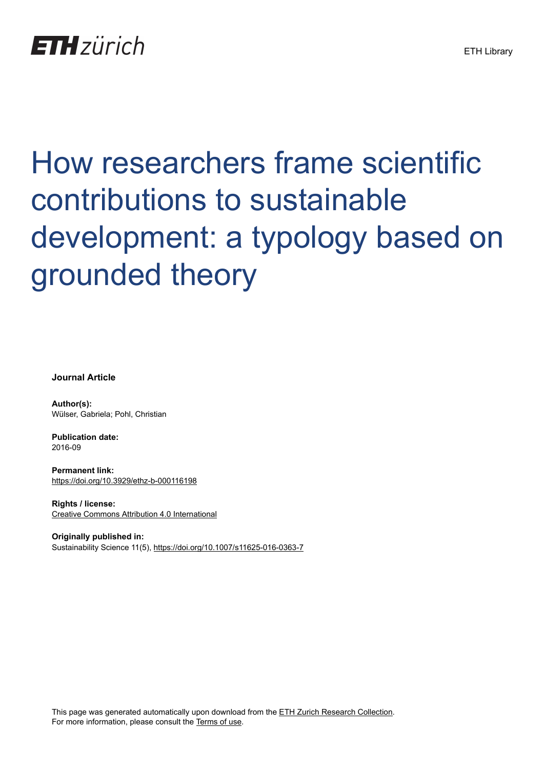

# How researchers frame scientific contributions to sustainable development: a typology based on grounded theory

**Journal Article**

**Author(s):** Wülser, Gabriela; Pohl, Christian

**Publication date:** 2016-09

**Permanent link:** <https://doi.org/10.3929/ethz-b-000116198>

**Rights / license:** [Creative Commons Attribution 4.0 International](http://creativecommons.org/licenses/by/4.0/)

**Originally published in:** Sustainability Science 11(5),<https://doi.org/10.1007/s11625-016-0363-7>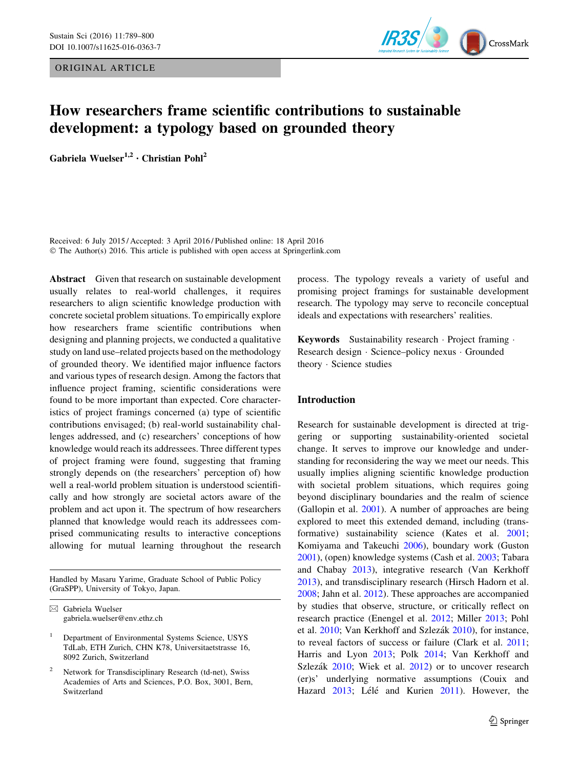ORIGINAL ARTICLE



## How researchers frame scientific contributions to sustainable development: a typology based on grounded theory

Gabriela Wuelser<sup>1,2</sup> · Christian Pohl<sup>2</sup>

Received: 6 July 2015 / Accepted: 3 April 2016 / Published online: 18 April 2016 © The Author(s) 2016. This article is published with open access at Springerlink.com

Abstract Given that research on sustainable development usually relates to real-world challenges, it requires researchers to align scientific knowledge production with concrete societal problem situations. To empirically explore how researchers frame scientific contributions when designing and planning projects, we conducted a qualitative study on land use–related projects based on the methodology of grounded theory. We identified major influence factors and various types of research design. Among the factors that influence project framing, scientific considerations were found to be more important than expected. Core characteristics of project framings concerned (a) type of scientific contributions envisaged; (b) real-world sustainability challenges addressed, and (c) researchers' conceptions of how knowledge would reach its addressees. Three different types of project framing were found, suggesting that framing strongly depends on (the researchers' perception of) how well a real-world problem situation is understood scientifically and how strongly are societal actors aware of the problem and act upon it. The spectrum of how researchers planned that knowledge would reach its addressees comprised communicating results to interactive conceptions allowing for mutual learning throughout the research

Handled by Masaru Yarime, Graduate School of Public Policy (GraSPP), University of Tokyo, Japan.

 $\boxtimes$  Gabriela Wuelser gabriela.wuelser@env.ethz.ch

- <sup>1</sup> Department of Environmental Systems Science, USYS TdLab, ETH Zurich, CHN K78, Universitaetstrasse 16, 8092 Zurich, Switzerland
- Network for Transdisciplinary Research (td-net), Swiss Academies of Arts and Sciences, P.O. Box, 3001, Bern, Switzerland

process. The typology reveals a variety of useful and promising project framings for sustainable development research. The typology may serve to reconcile conceptual ideals and expectations with researchers' realities.

Keywords Sustainability research · Project framing · Research design - Science–policy nexus - Grounded theory - Science studies

#### Introduction

Research for sustainable development is directed at triggering or supporting sustainability-oriented societal change. It serves to improve our knowledge and understanding for reconsidering the way we meet our needs. This usually implies aligning scientific knowledge production with societal problem situations, which requires going beyond disciplinary boundaries and the realm of science (Gallopin et al. [2001\)](#page-11-0). A number of approaches are being explored to meet this extended demand, including (transformative) sustainability science (Kates et al. [2001](#page-11-0); Komiyama and Takeuchi [2006](#page-11-0)), boundary work (Guston [2001](#page-11-0)), (open) knowledge systems (Cash et al. [2003](#page-11-0); Tabara and Chabay [2013\)](#page-12-0), integrative research (Van Kerkhoff [2013](#page-12-0)), and transdisciplinary research (Hirsch Hadorn et al. [2008](#page-11-0); Jahn et al. [2012](#page-11-0)). These approaches are accompanied by studies that observe, structure, or critically reflect on research practice (Enengel et al. [2012;](#page-11-0) Miller [2013](#page-12-0); Pohl et al. [2010](#page-12-0); Van Kerkhoff and Szlezák [2010\)](#page-12-0), for instance, to reveal factors of success or failure (Clark et al. [2011](#page-11-0); Harris and Lyon [2013;](#page-11-0) Polk [2014](#page-12-0); Van Kerkhoff and Szlezák [2010;](#page-12-0) Wiek et al. [2012](#page-12-0)) or to uncover research (er)s' underlying normative assumptions (Couix and Hazard [2013](#page-11-0); Lélé and Kurien [2011\)](#page-12-0). However, the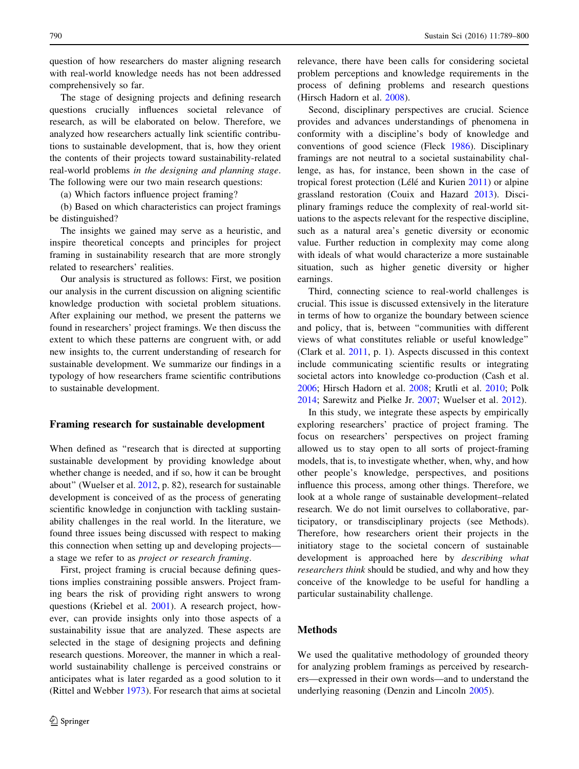question of how researchers do master aligning research with real-world knowledge needs has not been addressed comprehensively so far.

The stage of designing projects and defining research questions crucially influences societal relevance of research, as will be elaborated on below. Therefore, we analyzed how researchers actually link scientific contributions to sustainable development, that is, how they orient the contents of their projects toward sustainability-related real-world problems in the designing and planning stage. The following were our two main research questions:

(a) Which factors influence project framing?

(b) Based on which characteristics can project framings be distinguished?

The insights we gained may serve as a heuristic, and inspire theoretical concepts and principles for project framing in sustainability research that are more strongly related to researchers' realities.

Our analysis is structured as follows: First, we position our analysis in the current discussion on aligning scientific knowledge production with societal problem situations. After explaining our method, we present the patterns we found in researchers' project framings. We then discuss the extent to which these patterns are congruent with, or add new insights to, the current understanding of research for sustainable development. We summarize our findings in a typology of how researchers frame scientific contributions to sustainable development.

#### Framing research for sustainable development

When defined as "research that is directed at supporting sustainable development by providing knowledge about whether change is needed, and if so, how it can be brought about'' (Wuelser et al. [2012,](#page-12-0) p. 82), research for sustainable development is conceived of as the process of generating scientific knowledge in conjunction with tackling sustainability challenges in the real world. In the literature, we found three issues being discussed with respect to making this connection when setting up and developing projects a stage we refer to as project or research framing.

First, project framing is crucial because defining questions implies constraining possible answers. Project framing bears the risk of providing right answers to wrong questions (Kriebel et al. [2001\)](#page-11-0). A research project, however, can provide insights only into those aspects of a sustainability issue that are analyzed. These aspects are selected in the stage of designing projects and defining research questions. Moreover, the manner in which a realworld sustainability challenge is perceived constrains or anticipates what is later regarded as a good solution to it (Rittel and Webber [1973\)](#page-12-0). For research that aims at societal relevance, there have been calls for considering societal problem perceptions and knowledge requirements in the process of defining problems and research questions (Hirsch Hadorn et al. [2008](#page-11-0)).

Second, disciplinary perspectives are crucial. Science provides and advances understandings of phenomena in conformity with a discipline's body of knowledge and conventions of good science (Fleck [1986\)](#page-11-0). Disciplinary framings are not neutral to a societal sustainability challenge, as has, for instance, been shown in the case of tropical forest protection (Lélé and Kurien  $2011$ ) or alpine grassland restoration (Couix and Hazard [2013\)](#page-11-0). Disciplinary framings reduce the complexity of real-world situations to the aspects relevant for the respective discipline, such as a natural area's genetic diversity or economic value. Further reduction in complexity may come along with ideals of what would characterize a more sustainable situation, such as higher genetic diversity or higher earnings.

Third, connecting science to real-world challenges is crucial. This issue is discussed extensively in the literature in terms of how to organize the boundary between science and policy, that is, between ''communities with different views of what constitutes reliable or useful knowledge'' (Clark et al. [2011,](#page-11-0) p. 1). Aspects discussed in this context include communicating scientific results or integrating societal actors into knowledge co-production (Cash et al. [2006](#page-11-0); Hirsch Hadorn et al. [2008;](#page-11-0) Krutli et al. [2010](#page-11-0); Polk [2014](#page-12-0); Sarewitz and Pielke Jr. [2007;](#page-12-0) Wuelser et al. [2012](#page-12-0)).

In this study, we integrate these aspects by empirically exploring researchers' practice of project framing. The focus on researchers' perspectives on project framing allowed us to stay open to all sorts of project-framing models, that is, to investigate whether, when, why, and how other people's knowledge, perspectives, and positions influence this process, among other things. Therefore, we look at a whole range of sustainable development–related research. We do not limit ourselves to collaborative, participatory, or transdisciplinary projects (see Methods). Therefore, how researchers orient their projects in the initiatory stage to the societal concern of sustainable development is approached here by *describing what* researchers think should be studied, and why and how they conceive of the knowledge to be useful for handling a particular sustainability challenge.

#### Methods

We used the qualitative methodology of grounded theory for analyzing problem framings as perceived by researchers—expressed in their own words—and to understand the underlying reasoning (Denzin and Lincoln [2005\)](#page-11-0).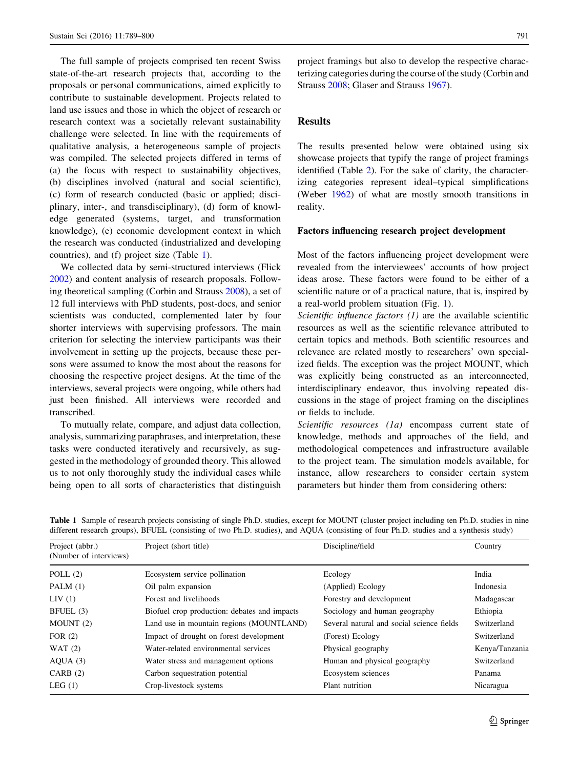The full sample of projects comprised ten recent Swiss state-of-the-art research projects that, according to the proposals or personal communications, aimed explicitly to contribute to sustainable development. Projects related to land use issues and those in which the object of research or research context was a societally relevant sustainability challenge were selected. In line with the requirements of qualitative analysis, a heterogeneous sample of projects was compiled. The selected projects differed in terms of (a) the focus with respect to sustainability objectives, (b) disciplines involved (natural and social scientific), (c) form of research conducted (basic or applied; disciplinary, inter-, and transdisciplinary), (d) form of knowledge generated (systems, target, and transformation knowledge), (e) economic development context in which the research was conducted (industrialized and developing countries), and (f) project size (Table 1).

We collected data by semi-structured interviews (Flick [2002\)](#page-11-0) and content analysis of research proposals. Following theoretical sampling (Corbin and Strauss [2008\)](#page-11-0), a set of 12 full interviews with PhD students, post-docs, and senior scientists was conducted, complemented later by four shorter interviews with supervising professors. The main criterion for selecting the interview participants was their involvement in setting up the projects, because these persons were assumed to know the most about the reasons for choosing the respective project designs. At the time of the interviews, several projects were ongoing, while others had just been finished. All interviews were recorded and transcribed.

To mutually relate, compare, and adjust data collection, analysis, summarizing paraphrases, and interpretation, these tasks were conducted iteratively and recursively, as suggested in the methodology of grounded theory. This allowed us to not only thoroughly study the individual cases while being open to all sorts of characteristics that distinguish project framings but also to develop the respective characterizing categories during the course of the study (Corbin and Strauss [2008](#page-11-0); Glaser and Strauss [1967](#page-11-0)).

#### Results

The results presented below were obtained using six showcase projects that typify the range of project framings identified (Table [2\)](#page-4-0). For the sake of clarity, the characterizing categories represent ideal–typical simplifications (Weber [1962\)](#page-12-0) of what are mostly smooth transitions in reality.

#### Factors influencing research project development

Most of the factors influencing project development were revealed from the interviewees' accounts of how project ideas arose. These factors were found to be either of a scientific nature or of a practical nature, that is, inspired by a real-world problem situation (Fig. [1\)](#page-5-0).

Scientific influence factors  $(1)$  are the available scientific resources as well as the scientific relevance attributed to certain topics and methods. Both scientific resources and relevance are related mostly to researchers' own specialized fields. The exception was the project MOUNT, which was explicitly being constructed as an interconnected, interdisciplinary endeavor, thus involving repeated discussions in the stage of project framing on the disciplines or fields to include.

Scientific resources (1a) encompass current state of knowledge, methods and approaches of the field, and methodological competences and infrastructure available to the project team. The simulation models available, for instance, allow researchers to consider certain system parameters but hinder them from considering others:

| Project (abbr.)<br>(Number of interviews) | Project (short title)                        | Discipline/field                          | Country        |
|-------------------------------------------|----------------------------------------------|-------------------------------------------|----------------|
| POLL $(2)$                                | Ecosystem service pollination                | Ecology                                   | India          |
| PALM $(1)$                                | Oil palm expansion                           | (Applied) Ecology                         | Indonesia      |
| LIV(1)                                    | Forest and livelihoods                       | Forestry and development                  | Madagascar     |
| BFUEL(3)                                  | Biofuel crop production: debates and impacts | Sociology and human geography             | Ethiopia       |
| MOUNT (2)                                 | Land use in mountain regions (MOUNTLAND)     | Several natural and social science fields | Switzerland    |
| FOR $(2)$                                 | Impact of drought on forest development      | (Forest) Ecology                          | Switzerland    |
| WAT $(2)$                                 | Water-related environmental services         | Physical geography                        | Kenya/Tanzania |
| AQUA(3)                                   | Water stress and management options          | Human and physical geography              | Switzerland    |
| CARB(2)                                   | Carbon sequestration potential               | Ecosystem sciences                        | Panama         |
| LEG(1)                                    | Crop-livestock systems                       | Plant nutrition                           | Nicaragua      |

Table 1 Sample of research projects consisting of single Ph.D. studies, except for MOUNT (cluster project including ten Ph.D. studies in nine different research groups), BFUEL (consisting of two Ph.D. studies), and AQUA (consisting of four Ph.D. studies and a synthesis study)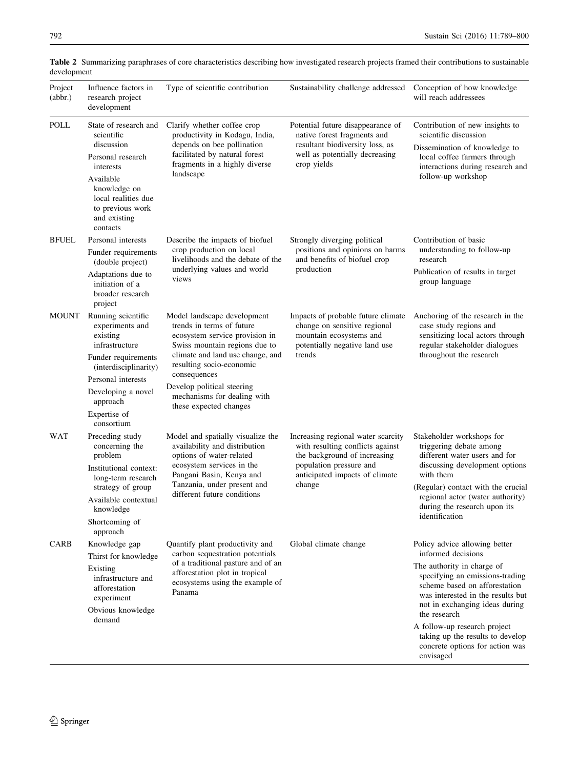| Project<br>(abbr.) | Influence factors in<br>research project<br>development                                                                                                                                                   | Type of scientific contribution                                                                                                                                                                                                                                                                    | Sustainability challenge addressed                                                                                                                                            | Conception of how knowledge<br>will reach addressees                                                                                                                                                                                                                                                                                                             |
|--------------------|-----------------------------------------------------------------------------------------------------------------------------------------------------------------------------------------------------------|----------------------------------------------------------------------------------------------------------------------------------------------------------------------------------------------------------------------------------------------------------------------------------------------------|-------------------------------------------------------------------------------------------------------------------------------------------------------------------------------|------------------------------------------------------------------------------------------------------------------------------------------------------------------------------------------------------------------------------------------------------------------------------------------------------------------------------------------------------------------|
| POLL               | State of research and<br>scientific<br>discussion<br>Personal research<br>interests<br>Available<br>knowledge on<br>local realities due<br>to previous work<br>and existing<br>contacts                   | Clarify whether coffee crop<br>productivity in Kodagu, India,<br>depends on bee pollination<br>facilitated by natural forest<br>fragments in a highly diverse<br>landscape                                                                                                                         | Potential future disappearance of<br>native forest fragments and<br>resultant biodiversity loss, as<br>well as potentially decreasing<br>crop yields                          | Contribution of new insights to<br>scientific discussion<br>Dissemination of knowledge to<br>local coffee farmers through<br>interactions during research and<br>follow-up workshop                                                                                                                                                                              |
| <b>BFUEL</b>       | Personal interests<br>Funder requirements<br>(double project)<br>Adaptations due to<br>initiation of a<br>broader research<br>project                                                                     | Describe the impacts of biofuel<br>crop production on local<br>livelihoods and the debate of the<br>underlying values and world<br>views                                                                                                                                                           | Strongly diverging political<br>positions and opinions on harms<br>and benefits of biofuel crop<br>production                                                                 | Contribution of basic<br>understanding to follow-up<br>research<br>Publication of results in target<br>group language                                                                                                                                                                                                                                            |
| <b>MOUNT</b>       | Running scientific<br>experiments and<br>existing<br>infrastructure<br>Funder requirements<br>(interdisciplinarity)<br>Personal interests<br>Developing a novel<br>approach<br>Expertise of<br>consortium | Model landscape development<br>trends in terms of future<br>ecosystem service provision in<br>Swiss mountain regions due to<br>climate and land use change, and<br>resulting socio-economic<br>consequences<br>Develop political steering<br>mechanisms for dealing with<br>these expected changes | Impacts of probable future climate<br>change on sensitive regional<br>mountain ecosystems and<br>potentially negative land use<br>trends                                      | Anchoring of the research in the<br>case study regions and<br>sensitizing local actors through<br>regular stakeholder dialogues<br>throughout the research                                                                                                                                                                                                       |
| WAT                | Preceding study<br>concerning the<br>problem<br>Institutional context:<br>long-term research<br>strategy of group<br>Available contextual<br>knowledge<br>Shortcoming of<br>approach                      | Model and spatially visualize the<br>availability and distribution<br>options of water-related<br>ecosystem services in the<br>Pangani Basin, Kenya and<br>Tanzania, under present and<br>different future conditions                                                                              | Increasing regional water scarcity<br>with resulting conflicts against<br>the background of increasing<br>population pressure and<br>anticipated impacts of climate<br>change | Stakeholder workshops for<br>triggering debate among<br>different water users and for<br>discussing development options<br>with them<br>(Regular) contact with the crucial<br>regional actor (water authority)<br>during the research upon its<br>identification                                                                                                 |
| CARB               | Knowledge gap<br>Thirst for knowledge<br>Existing<br>infrastructure and<br>afforestation<br>experiment<br>Obvious knowledge<br>demand                                                                     | Quantify plant productivity and<br>carbon sequestration potentials<br>of a traditional pasture and of an<br>afforestation plot in tropical<br>ecosystems using the example of<br>Panama                                                                                                            | Global climate change                                                                                                                                                         | Policy advice allowing better<br>informed decisions<br>The authority in charge of<br>specifying an emissions-trading<br>scheme based on afforestation<br>was interested in the results but<br>not in exchanging ideas during<br>the research<br>A follow-up research project<br>taking up the results to develop<br>concrete options for action was<br>envisaged |

<span id="page-4-0"></span>Table 2 Summarizing paraphrases of core characteristics describing how investigated research projects framed their contributions to sustainable development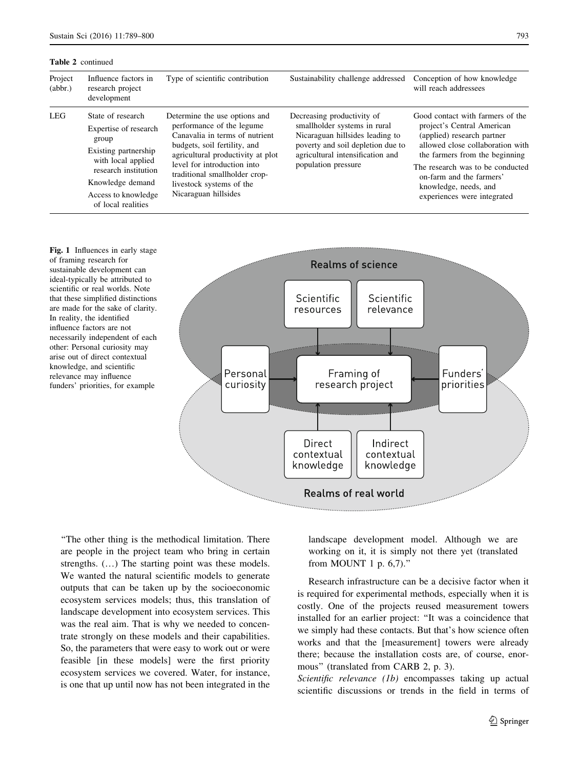<span id="page-5-0"></span>

| <b>Table 2</b> continued |                                                                                                                                                                                            |                                                                                                                                                                                                                                                                                       |                                                                                                                                                                                               |                                                                                                                                                                                                                                                                                            |
|--------------------------|--------------------------------------------------------------------------------------------------------------------------------------------------------------------------------------------|---------------------------------------------------------------------------------------------------------------------------------------------------------------------------------------------------------------------------------------------------------------------------------------|-----------------------------------------------------------------------------------------------------------------------------------------------------------------------------------------------|--------------------------------------------------------------------------------------------------------------------------------------------------------------------------------------------------------------------------------------------------------------------------------------------|
| Project<br>(abbr.)       | Influence factors in<br>research project<br>development                                                                                                                                    | Type of scientific contribution                                                                                                                                                                                                                                                       | Sustainability challenge addressed                                                                                                                                                            | Conception of how knowledge<br>will reach addressees                                                                                                                                                                                                                                       |
| LEG.                     | State of research<br>Expertise of research<br>group<br>Existing partnership<br>with local applied<br>research institution<br>Knowledge demand<br>Access to knowledge<br>of local realities | Determine the use options and<br>performance of the legume<br>Canavalia in terms of nutrient<br>budgets, soil fertility, and<br>agricultural productivity at plot<br>level for introduction into<br>traditional smallholder crop-<br>livestock systems of the<br>Nicaraguan hillsides | Decreasing productivity of<br>smallholder systems in rural<br>Nicaraguan hillsides leading to<br>poverty and soil depletion due to<br>agricultural intensification and<br>population pressure | Good contact with farmers of the<br>project's Central American<br>(applied) research partner<br>allowed close collaboration with<br>the farmers from the beginning<br>The research was to be conducted<br>on-farm and the farmers'<br>knowledge, needs, and<br>experiences were integrated |





''The other thing is the methodical limitation. There are people in the project team who bring in certain strengths. (…) The starting point was these models. We wanted the natural scientific models to generate outputs that can be taken up by the socioeconomic ecosystem services models; thus, this translation of landscape development into ecosystem services. This was the real aim. That is why we needed to concentrate strongly on these models and their capabilities. So, the parameters that were easy to work out or were feasible [in these models] were the first priority ecosystem services we covered. Water, for instance, is one that up until now has not been integrated in the

landscape development model. Although we are working on it, it is simply not there yet (translated from MOUNT 1 p. 6,7).''

Research infrastructure can be a decisive factor when it is required for experimental methods, especially when it is costly. One of the projects reused measurement towers installed for an earlier project: ''It was a coincidence that we simply had these contacts. But that's how science often works and that the [measurement] towers were already there; because the installation costs are, of course, enormous'' (translated from CARB 2, p. 3).

Scientific relevance (1b) encompasses taking up actual scientific discussions or trends in the field in terms of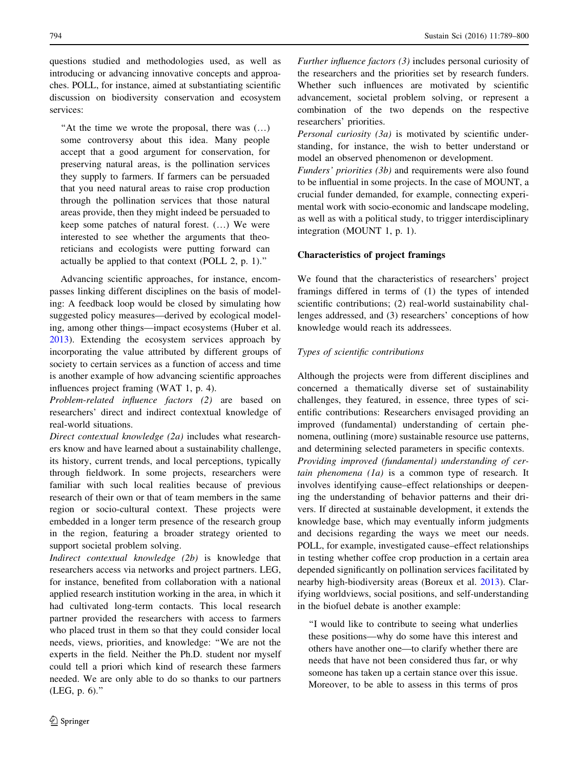questions studied and methodologies used, as well as introducing or advancing innovative concepts and approaches. POLL, for instance, aimed at substantiating scientific discussion on biodiversity conservation and ecosystem services:

"At the time we wrote the proposal, there was  $(...)$ some controversy about this idea. Many people accept that a good argument for conservation, for preserving natural areas, is the pollination services they supply to farmers. If farmers can be persuaded that you need natural areas to raise crop production through the pollination services that those natural areas provide, then they might indeed be persuaded to keep some patches of natural forest. (…) We were interested to see whether the arguments that theoreticians and ecologists were putting forward can actually be applied to that context (POLL 2, p. 1).''

Advancing scientific approaches, for instance, encompasses linking different disciplines on the basis of modeling: A feedback loop would be closed by simulating how suggested policy measures—derived by ecological modeling, among other things—impact ecosystems (Huber et al. [2013\)](#page-11-0). Extending the ecosystem services approach by incorporating the value attributed by different groups of society to certain services as a function of access and time is another example of how advancing scientific approaches influences project framing (WAT 1, p. 4).

Problem-related influence factors (2) are based on researchers' direct and indirect contextual knowledge of real-world situations.

Direct contextual knowledge (2a) includes what researchers know and have learned about a sustainability challenge, its history, current trends, and local perceptions, typically through fieldwork. In some projects, researchers were familiar with such local realities because of previous research of their own or that of team members in the same region or socio-cultural context. These projects were embedded in a longer term presence of the research group in the region, featuring a broader strategy oriented to support societal problem solving.

Indirect contextual knowledge (2b) is knowledge that researchers access via networks and project partners. LEG, for instance, benefited from collaboration with a national applied research institution working in the area, in which it had cultivated long-term contacts. This local research partner provided the researchers with access to farmers who placed trust in them so that they could consider local needs, views, priorities, and knowledge: ''We are not the experts in the field. Neither the Ph.D. student nor myself could tell a priori which kind of research these farmers needed. We are only able to do so thanks to our partners (LEG, p. 6).''

Further influence factors (3) includes personal curiosity of the researchers and the priorities set by research funders. Whether such influences are motivated by scientific advancement, societal problem solving, or represent a combination of the two depends on the respective researchers' priorities.

Personal curiosity  $(3a)$  is motivated by scientific understanding, for instance, the wish to better understand or model an observed phenomenon or development.

Funders' priorities (3b) and requirements were also found to be influential in some projects. In the case of MOUNT, a crucial funder demanded, for example, connecting experimental work with socio-economic and landscape modeling, as well as with a political study, to trigger interdisciplinary integration (MOUNT 1, p. 1).

#### Characteristics of project framings

We found that the characteristics of researchers' project framings differed in terms of (1) the types of intended scientific contributions; (2) real-world sustainability challenges addressed, and (3) researchers' conceptions of how knowledge would reach its addressees.

#### Types of scientific contributions

Although the projects were from different disciplines and concerned a thematically diverse set of sustainability challenges, they featured, in essence, three types of scientific contributions: Researchers envisaged providing an improved (fundamental) understanding of certain phenomena, outlining (more) sustainable resource use patterns, and determining selected parameters in specific contexts. Providing improved (fundamental) understanding of certain phenomena  $(1a)$  is a common type of research. It involves identifying cause–effect relationships or deepening the understanding of behavior patterns and their drivers. If directed at sustainable development, it extends the knowledge base, which may eventually inform judgments and decisions regarding the ways we meet our needs. POLL, for example, investigated cause–effect relationships in testing whether coffee crop production in a certain area depended significantly on pollination services facilitated by nearby high-biodiversity areas (Boreux et al. [2013](#page-11-0)). Clarifying worldviews, social positions, and self-understanding in the biofuel debate is another example:

''I would like to contribute to seeing what underlies these positions—why do some have this interest and others have another one—to clarify whether there are needs that have not been considered thus far, or why someone has taken up a certain stance over this issue. Moreover, to be able to assess in this terms of pros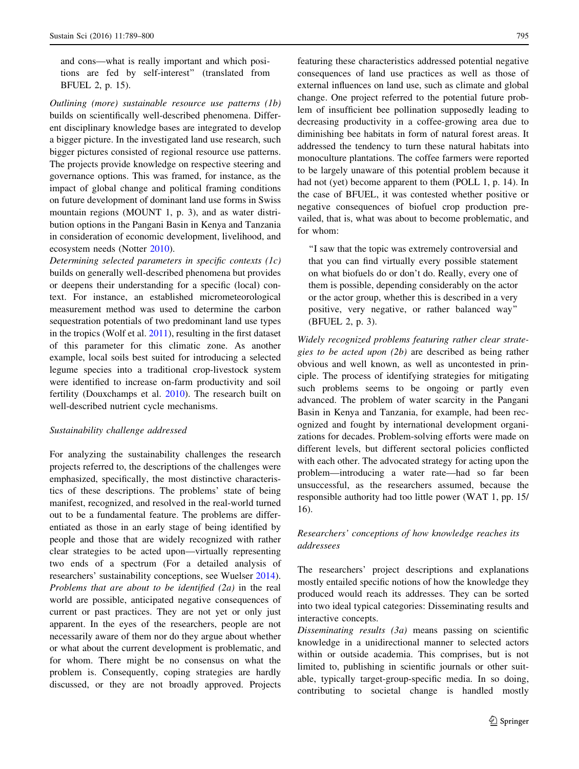and cons—what is really important and which positions are fed by self-interest'' (translated from BFUEL 2, p. 15).

Outlining (more) sustainable resource use patterns (1b) builds on scientifically well-described phenomena. Different disciplinary knowledge bases are integrated to develop a bigger picture. In the investigated land use research, such bigger pictures consisted of regional resource use patterns. The projects provide knowledge on respective steering and governance options. This was framed, for instance, as the impact of global change and political framing conditions on future development of dominant land use forms in Swiss mountain regions (MOUNT 1, p. 3), and as water distribution options in the Pangani Basin in Kenya and Tanzania in consideration of economic development, livelihood, and ecosystem needs (Notter [2010](#page-12-0)).

Determining selected parameters in specific contexts (1c) builds on generally well-described phenomena but provides or deepens their understanding for a specific (local) context. For instance, an established micrometeorological measurement method was used to determine the carbon sequestration potentials of two predominant land use types in the tropics (Wolf et al. [2011](#page-12-0)), resulting in the first dataset of this parameter for this climatic zone. As another example, local soils best suited for introducing a selected legume species into a traditional crop-livestock system were identified to increase on-farm productivity and soil fertility (Douxchamps et al. [2010](#page-11-0)). The research built on well-described nutrient cycle mechanisms.

#### Sustainability challenge addressed

For analyzing the sustainability challenges the research projects referred to, the descriptions of the challenges were emphasized, specifically, the most distinctive characteristics of these descriptions. The problems' state of being manifest, recognized, and resolved in the real-world turned out to be a fundamental feature. The problems are differentiated as those in an early stage of being identified by people and those that are widely recognized with rather clear strategies to be acted upon—virtually representing two ends of a spectrum (For a detailed analysis of researchers' sustainability conceptions, see Wuelser [2014](#page-12-0)). Problems that are about to be identified  $(2a)$  in the real world are possible, anticipated negative consequences of current or past practices. They are not yet or only just apparent. In the eyes of the researchers, people are not necessarily aware of them nor do they argue about whether or what about the current development is problematic, and for whom. There might be no consensus on what the problem is. Consequently, coping strategies are hardly discussed, or they are not broadly approved. Projects

featuring these characteristics addressed potential negative consequences of land use practices as well as those of external influences on land use, such as climate and global change. One project referred to the potential future problem of insufficient bee pollination supposedly leading to decreasing productivity in a coffee-growing area due to diminishing bee habitats in form of natural forest areas. It addressed the tendency to turn these natural habitats into monoculture plantations. The coffee farmers were reported to be largely unaware of this potential problem because it had not (yet) become apparent to them (POLL 1, p. 14). In the case of BFUEL, it was contested whether positive or negative consequences of biofuel crop production prevailed, that is, what was about to become problematic, and for whom:

''I saw that the topic was extremely controversial and that you can find virtually every possible statement on what biofuels do or don't do. Really, every one of them is possible, depending considerably on the actor or the actor group, whether this is described in a very positive, very negative, or rather balanced way'' (BFUEL 2, p. 3).

Widely recognized problems featuring rather clear strategies to be acted upon (2b) are described as being rather obvious and well known, as well as uncontested in principle. The process of identifying strategies for mitigating such problems seems to be ongoing or partly even advanced. The problem of water scarcity in the Pangani Basin in Kenya and Tanzania, for example, had been recognized and fought by international development organizations for decades. Problem-solving efforts were made on different levels, but different sectoral policies conflicted with each other. The advocated strategy for acting upon the problem—introducing a water rate—had so far been unsuccessful, as the researchers assumed, because the responsible authority had too little power (WAT 1, pp. 15/ 16).

#### Researchers' conceptions of how knowledge reaches its addressees

The researchers' project descriptions and explanations mostly entailed specific notions of how the knowledge they produced would reach its addresses. They can be sorted into two ideal typical categories: Disseminating results and interactive concepts.

Disseminating results  $(3a)$  means passing on scientific knowledge in a unidirectional manner to selected actors within or outside academia. This comprises, but is not limited to, publishing in scientific journals or other suitable, typically target-group-specific media. In so doing, contributing to societal change is handled mostly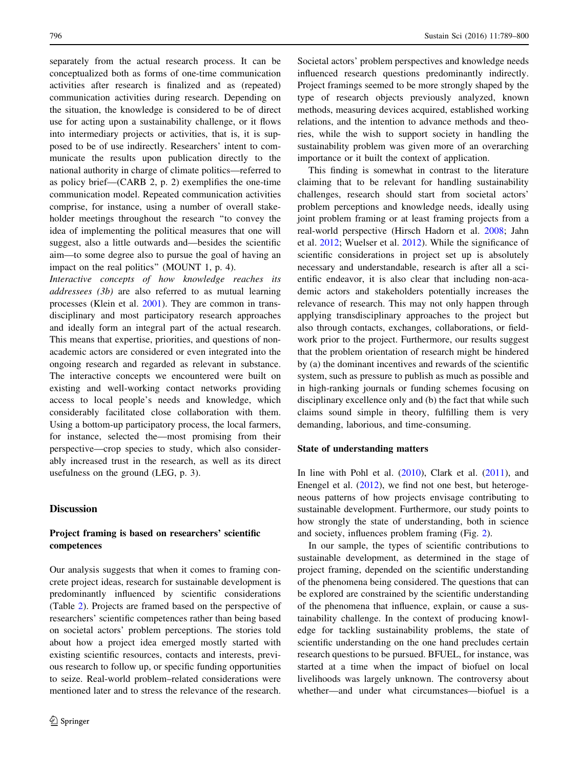separately from the actual research process. It can be conceptualized both as forms of one-time communication activities after research is finalized and as (repeated) communication activities during research. Depending on the situation, the knowledge is considered to be of direct use for acting upon a sustainability challenge, or it flows into intermediary projects or activities, that is, it is supposed to be of use indirectly. Researchers' intent to communicate the results upon publication directly to the national authority in charge of climate politics—referred to as policy brief—(CARB 2, p. 2) exemplifies the one-time communication model. Repeated communication activities comprise, for instance, using a number of overall stakeholder meetings throughout the research ''to convey the idea of implementing the political measures that one will suggest, also a little outwards and—besides the scientific aim—to some degree also to pursue the goal of having an impact on the real politics'' (MOUNT 1, p. 4).

Interactive concepts of how knowledge reaches its addressees (3b) are also referred to as mutual learning processes (Klein et al. [2001\)](#page-11-0). They are common in transdisciplinary and most participatory research approaches and ideally form an integral part of the actual research. This means that expertise, priorities, and questions of nonacademic actors are considered or even integrated into the ongoing research and regarded as relevant in substance. The interactive concepts we encountered were built on existing and well-working contact networks providing access to local people's needs and knowledge, which considerably facilitated close collaboration with them. Using a bottom-up participatory process, the local farmers, for instance, selected the—most promising from their perspective—crop species to study, which also considerably increased trust in the research, as well as its direct usefulness on the ground (LEG, p. 3).

#### **Discussion**

#### Project framing is based on researchers' scientific competences

Our analysis suggests that when it comes to framing concrete project ideas, research for sustainable development is predominantly influenced by scientific considerations (Table [2](#page-4-0)). Projects are framed based on the perspective of researchers' scientific competences rather than being based on societal actors' problem perceptions. The stories told about how a project idea emerged mostly started with existing scientific resources, contacts and interests, previous research to follow up, or specific funding opportunities to seize. Real-world problem–related considerations were mentioned later and to stress the relevance of the research. Societal actors' problem perspectives and knowledge needs influenced research questions predominantly indirectly. Project framings seemed to be more strongly shaped by the type of research objects previously analyzed, known methods, measuring devices acquired, established working relations, and the intention to advance methods and theories, while the wish to support society in handling the sustainability problem was given more of an overarching importance or it built the context of application.

This finding is somewhat in contrast to the literature claiming that to be relevant for handling sustainability challenges, research should start from societal actors' problem perceptions and knowledge needs, ideally using joint problem framing or at least framing projects from a real-world perspective (Hirsch Hadorn et al. [2008](#page-11-0); Jahn et al. [2012](#page-11-0); Wuelser et al. [2012\)](#page-12-0). While the significance of scientific considerations in project set up is absolutely necessary and understandable, research is after all a scientific endeavor, it is also clear that including non-academic actors and stakeholders potentially increases the relevance of research. This may not only happen through applying transdisciplinary approaches to the project but also through contacts, exchanges, collaborations, or fieldwork prior to the project. Furthermore, our results suggest that the problem orientation of research might be hindered by (a) the dominant incentives and rewards of the scientific system, such as pressure to publish as much as possible and in high-ranking journals or funding schemes focusing on disciplinary excellence only and (b) the fact that while such claims sound simple in theory, fulfilling them is very demanding, laborious, and time-consuming.

#### State of understanding matters

In line with Pohl et al.  $(2010)$  $(2010)$ , Clark et al.  $(2011)$  $(2011)$  $(2011)$ , and Enengel et al. [\(2012\)](#page-11-0), we find not one best, but heterogeneous patterns of how projects envisage contributing to sustainable development. Furthermore, our study points to how strongly the state of understanding, both in science and society, influences problem framing (Fig. [2](#page-9-0)).

In our sample, the types of scientific contributions to sustainable development, as determined in the stage of project framing, depended on the scientific understanding of the phenomena being considered. The questions that can be explored are constrained by the scientific understanding of the phenomena that influence, explain, or cause a sustainability challenge. In the context of producing knowledge for tackling sustainability problems, the state of scientific understanding on the one hand precludes certain research questions to be pursued. BFUEL, for instance, was started at a time when the impact of biofuel on local livelihoods was largely unknown. The controversy about whether—and under what circumstances—biofuel is a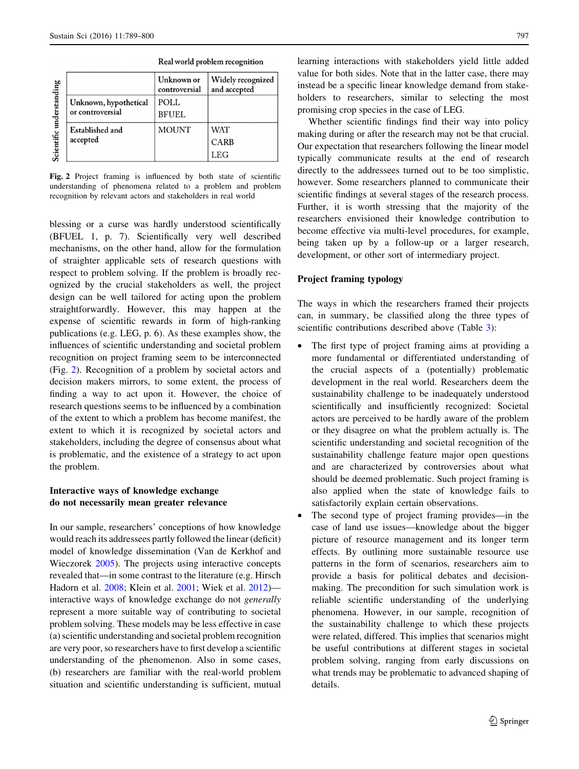<span id="page-9-0"></span>

| Scientific understanding |                       | Unknown or<br>controversial | Widely recognized<br>and accepted |
|--------------------------|-----------------------|-----------------------------|-----------------------------------|
|                          | Unknown, hypothetical | <b>POLL</b>                 |                                   |
|                          | or controversial      | <b>BFUEL</b>                |                                   |
|                          | Established and       | <b>MOUNT</b>                | <b>WAT</b>                        |
|                          | accepted              |                             | CARB                              |
|                          |                       |                             | <b>LEG</b>                        |

Real world problem recognition

Fig. 2 Project framing is influenced by both state of scientific understanding of phenomena related to a problem and problem recognition by relevant actors and stakeholders in real world

blessing or a curse was hardly understood scientifically (BFUEL 1, p. 7). Scientifically very well described mechanisms, on the other hand, allow for the formulation of straighter applicable sets of research questions with respect to problem solving. If the problem is broadly recognized by the crucial stakeholders as well, the project design can be well tailored for acting upon the problem straightforwardly. However, this may happen at the expense of scientific rewards in form of high-ranking publications (e.g. LEG, p. 6). As these examples show, the influences of scientific understanding and societal problem recognition on project framing seem to be interconnected (Fig. 2). Recognition of a problem by societal actors and decision makers mirrors, to some extent, the process of finding a way to act upon it. However, the choice of research questions seems to be influenced by a combination of the extent to which a problem has become manifest, the extent to which it is recognized by societal actors and stakeholders, including the degree of consensus about what is problematic, and the existence of a strategy to act upon the problem.

#### Interactive ways of knowledge exchange do not necessarily mean greater relevance

In our sample, researchers' conceptions of how knowledge would reach its addressees partly followed the linear (deficit) model of knowledge dissemination (Van de Kerkhof and Wieczorek [2005](#page-12-0)). The projects using interactive concepts revealed that—in some contrast to the literature (e.g. Hirsch Hadorn et al. [2008](#page-11-0); Klein et al. [2001;](#page-11-0) Wiek et al. [2012\)](#page-12-0) interactive ways of knowledge exchange do not generally represent a more suitable way of contributing to societal problem solving. These models may be less effective in case (a) scientific understanding and societal problem recognition are very poor, so researchers have to first develop a scientific understanding of the phenomenon. Also in some cases, (b) researchers are familiar with the real-world problem situation and scientific understanding is sufficient, mutual learning interactions with stakeholders yield little added value for both sides. Note that in the latter case, there may instead be a specific linear knowledge demand from stakeholders to researchers, similar to selecting the most promising crop species in the case of LEG.

Whether scientific findings find their way into policy making during or after the research may not be that crucial. Our expectation that researchers following the linear model typically communicate results at the end of research directly to the addressees turned out to be too simplistic, however. Some researchers planned to communicate their scientific findings at several stages of the research process. Further, it is worth stressing that the majority of the researchers envisioned their knowledge contribution to become effective via multi-level procedures, for example, being taken up by a follow-up or a larger research, development, or other sort of intermediary project.

#### Project framing typology

The ways in which the researchers framed their projects can, in summary, be classified along the three types of scientific contributions described above (Table [3](#page-10-0)):

- The first type of project framing aims at providing a more fundamental or differentiated understanding of the crucial aspects of a (potentially) problematic development in the real world. Researchers deem the sustainability challenge to be inadequately understood scientifically and insufficiently recognized: Societal actors are perceived to be hardly aware of the problem or they disagree on what the problem actually is. The scientific understanding and societal recognition of the sustainability challenge feature major open questions and are characterized by controversies about what should be deemed problematic. Such project framing is also applied when the state of knowledge fails to satisfactorily explain certain observations.
- The second type of project framing provides—in the case of land use issues—knowledge about the bigger picture of resource management and its longer term effects. By outlining more sustainable resource use patterns in the form of scenarios, researchers aim to provide a basis for political debates and decisionmaking. The precondition for such simulation work is reliable scientific understanding of the underlying phenomena. However, in our sample, recognition of the sustainability challenge to which these projects were related, differed. This implies that scenarios might be useful contributions at different stages in societal problem solving, ranging from early discussions on what trends may be problematic to advanced shaping of details.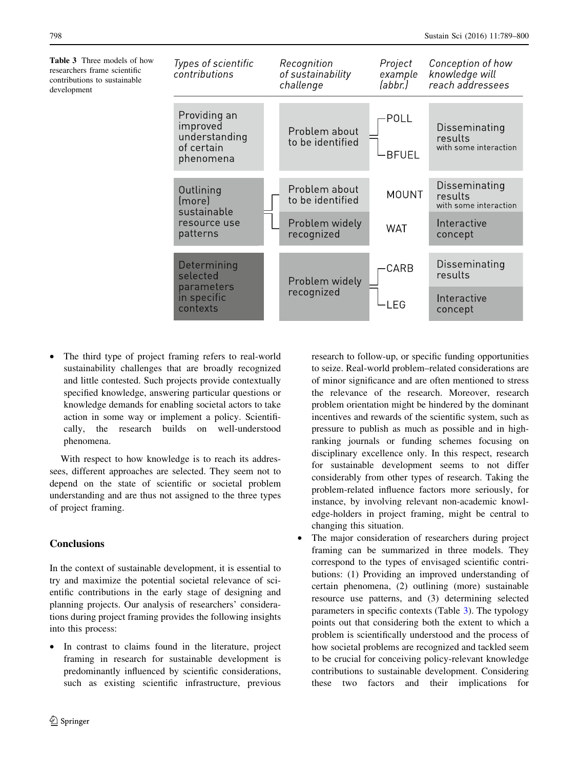<span id="page-10-0"></span>Table 3 Three models of how researchers frame scientific contributions to sustainable development



The third type of project framing refers to real-world sustainability challenges that are broadly recognized and little contested. Such projects provide contextually specified knowledge, answering particular questions or knowledge demands for enabling societal actors to take action in some way or implement a policy. Scientifically, the research builds on well-understood phenomena.

With respect to how knowledge is to reach its addressees, different approaches are selected. They seem not to depend on the state of scientific or societal problem understanding and are thus not assigned to the three types of project framing.

### **Conclusions**

In the context of sustainable development, it is essential to try and maximize the potential societal relevance of scientific contributions in the early stage of designing and planning projects. Our analysis of researchers' considerations during project framing provides the following insights into this process:

In contrast to claims found in the literature, project framing in research for sustainable development is predominantly influenced by scientific considerations, such as existing scientific infrastructure, previous research to follow-up, or specific funding opportunities to seize. Real-world problem–related considerations are of minor significance and are often mentioned to stress the relevance of the research. Moreover, research problem orientation might be hindered by the dominant incentives and rewards of the scientific system, such as pressure to publish as much as possible and in highranking journals or funding schemes focusing on disciplinary excellence only. In this respect, research for sustainable development seems to not differ considerably from other types of research. Taking the problem-related influence factors more seriously, for instance, by involving relevant non-academic knowledge-holders in project framing, might be central to changing this situation.

The major consideration of researchers during project framing can be summarized in three models. They correspond to the types of envisaged scientific contributions: (1) Providing an improved understanding of certain phenomena, (2) outlining (more) sustainable resource use patterns, and (3) determining selected parameters in specific contexts (Table 3). The typology points out that considering both the extent to which a problem is scientifically understood and the process of how societal problems are recognized and tackled seem to be crucial for conceiving policy-relevant knowledge contributions to sustainable development. Considering these two factors and their implications for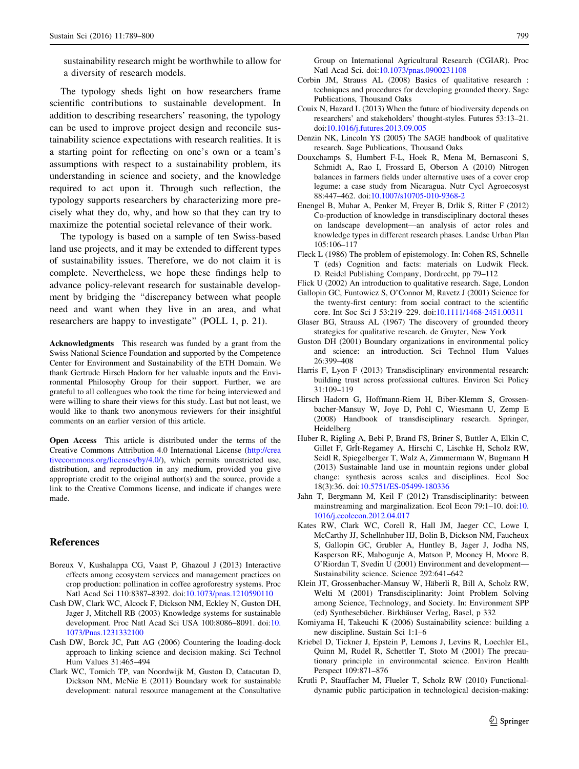<span id="page-11-0"></span>sustainability research might be worthwhile to allow for a diversity of research models.

The typology sheds light on how researchers frame scientific contributions to sustainable development. In addition to describing researchers' reasoning, the typology can be used to improve project design and reconcile sustainability science expectations with research realities. It is a starting point for reflecting on one's own or a team's assumptions with respect to a sustainability problem, its understanding in science and society, and the knowledge required to act upon it. Through such reflection, the typology supports researchers by characterizing more precisely what they do, why, and how so that they can try to maximize the potential societal relevance of their work.

The typology is based on a sample of ten Swiss-based land use projects, and it may be extended to different types of sustainability issues. Therefore, we do not claim it is complete. Nevertheless, we hope these findings help to advance policy-relevant research for sustainable development by bridging the ''discrepancy between what people need and want when they live in an area, and what researchers are happy to investigate'' (POLL 1, p. 21).

Acknowledgments This research was funded by a grant from the Swiss National Science Foundation and supported by the Competence Center for Environment and Sustainability of the ETH Domain. We thank Gertrude Hirsch Hadorn for her valuable inputs and the Environmental Philosophy Group for their support. Further, we are grateful to all colleagues who took the time for being interviewed and were willing to share their views for this study. Last but not least, we would like to thank two anonymous reviewers for their insightful comments on an earlier version of this article.

Open Access This article is distributed under the terms of the Creative Commons Attribution 4.0 International License ([http://crea](http://creativecommons.org/licenses/by/4.0/) [tivecommons.org/licenses/by/4.0/\)](http://creativecommons.org/licenses/by/4.0/), which permits unrestricted use, distribution, and reproduction in any medium, provided you give appropriate credit to the original author(s) and the source, provide a link to the Creative Commons license, and indicate if changes were made.

#### References

- Boreux V, Kushalappa CG, Vaast P, Ghazoul J (2013) Interactive effects among ecosystem services and management practices on crop production: pollination in coffee agroforestry systems. Proc Natl Acad Sci 110:8387–8392. doi[:10.1073/pnas.1210590110](http://dx.doi.org/10.1073/pnas.1210590110)
- Cash DW, Clark WC, Alcock F, Dickson NM, Eckley N, Guston DH, Jager J, Mitchell RB (2003) Knowledge systems for sustainable development. Proc Natl Acad Sci USA 100:8086–8091. doi:[10.](http://dx.doi.org/10.1073/Pnas.1231332100) [1073/Pnas.1231332100](http://dx.doi.org/10.1073/Pnas.1231332100)
- Cash DW, Borck JC, Patt AG (2006) Countering the loading-dock approach to linking science and decision making. Sci Technol Hum Values 31:465–494
- Clark WC, Tomich TP, van Noordwijk M, Guston D, Catacutan D, Dickson NM, McNie E (2011) Boundary work for sustainable development: natural resource management at the Consultative

Group on International Agricultural Research (CGIAR). Proc Natl Acad Sci. doi[:10.1073/pnas.0900231108](http://dx.doi.org/10.1073/pnas.0900231108)

- Corbin JM, Strauss AL (2008) Basics of qualitative research : techniques and procedures for developing grounded theory. Sage Publications, Thousand Oaks
- Couix N, Hazard L (2013) When the future of biodiversity depends on researchers' and stakeholders' thought-styles. Futures 53:13–21. doi[:10.1016/j.futures.2013.09.005](http://dx.doi.org/10.1016/j.futures.2013.09.005)
- Denzin NK, Lincoln YS (2005) The SAGE handbook of qualitative research. Sage Publications, Thousand Oaks
- Douxchamps S, Humbert F-L, Hoek R, Mena M, Bernasconi S, Schmidt A, Rao I, Frossard E, Oberson A (2010) Nitrogen balances in farmers fields under alternative uses of a cover crop legume: a case study from Nicaragua. Nutr Cycl Agroecosyst 88:447–462. doi:[10.1007/s10705-010-9368-2](http://dx.doi.org/10.1007/s10705-010-9368-2)
- Enengel B, Muhar A, Penker M, Freyer B, Drlik S, Ritter F (2012) Co-production of knowledge in transdisciplinary doctoral theses on landscape development—an analysis of actor roles and knowledge types in different research phases. Landsc Urban Plan 105:106–117
- Fleck L (1986) The problem of epistemology. In: Cohen RS, Schnelle T (eds) Cognition and facts: materials on Ludwik Fleck. D. Reidel Publishing Company, Dordrecht, pp 79–112
- Flick U (2002) An introduction to qualitative research. Sage, London
- Gallopin GC, Funtowicz S, O'Connor M, Ravetz J (2001) Science for the twenty-first century: from social contract to the scientific core. Int Soc Sci J 53:219–229. doi:[10.1111/1468-2451.00311](http://dx.doi.org/10.1111/1468-2451.00311)
- Glaser BG, Strauss AL (1967) The discovery of grounded theory strategies for qualitative research. de Gruyter, New York
- Guston DH (2001) Boundary organizations in environmental policy and science: an introduction. Sci Technol Hum Values 26:399–408
- Harris F, Lyon F (2013) Transdisciplinary environmental research: building trust across professional cultures. Environ Sci Policy 31:109–119
- Hirsch Hadorn G, Hoffmann-Riem H, Biber-Klemm S, Grossenbacher-Mansuy W, Joye D, Pohl C, Wiesmann U, Zemp E (2008) Handbook of transdisciplinary research. Springer, Heidelberg
- Huber R, Rigling A, Bebi P, Brand FS, Briner S, Buttler A, Elkin C, Gillet F, GrÍt-Regamey A, Hirschi C, Lischke H, Scholz RW, Seidl R, Spiegelberger T, Walz A, Zimmermann W, Bugmann H (2013) Sustainable land use in mountain regions under global change: synthesis across scales and disciplines. Ecol Soc 18(3):36. doi:[10.5751/ES-05499-180336](http://dx.doi.org/10.5751/ES-05499-180336)
- Jahn T, Bergmann M, Keil F (2012) Transdisciplinarity: between mainstreaming and marginalization. Ecol Econ 79:1–[10.](http://dx.doi.org/10.1016/j.ecolecon.2012.04.017) doi:10. [1016/j.ecolecon.2012.04.017](http://dx.doi.org/10.1016/j.ecolecon.2012.04.017)
- Kates RW, Clark WC, Corell R, Hall JM, Jaeger CC, Lowe I, McCarthy JJ, Schellnhuber HJ, Bolin B, Dickson NM, Faucheux S, Gallopin GC, Grubler A, Huntley B, Jager J, Jodha NS, Kasperson RE, Mabogunje A, Matson P, Mooney H, Moore B, O'Riordan T, Svedin U (2001) Environment and development— Sustainability science. Science 292:641–642
- Klein JT, Grossenbacher-Mansuy W, Häberli R, Bill A, Scholz RW, Welti M (2001) Transdisciplinarity: Joint Problem Solving among Science, Technology, and Society. In: Environment SPP (ed) Synthesebücher. Birkhäuser Verlag, Basel, p 332
- Komiyama H, Takeuchi K (2006) Sustainability science: building a new discipline. Sustain Sci 1:1–6
- Kriebel D, Tickner J, Epstein P, Lemons J, Levins R, Loechler EL, Quinn M, Rudel R, Schettler T, Stoto M (2001) The precautionary principle in environmental science. Environ Health Perspect 109:871–876
- Krutli P, Stauffacher M, Flueler T, Scholz RW (2010) Functionaldynamic public participation in technological decision-making: